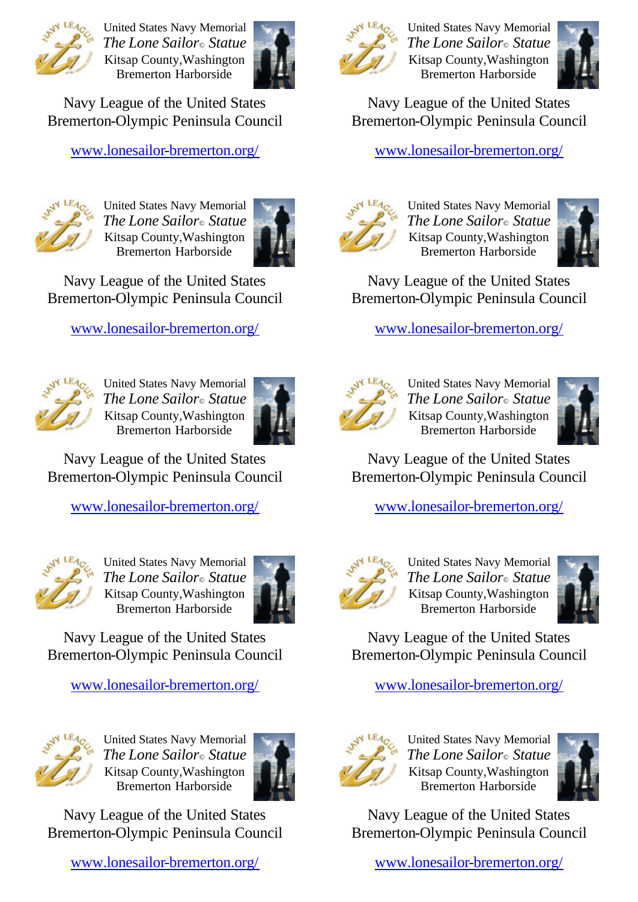

United States Navy Memorial *The Lone Sailor© Statue*  Kitsap County,Washington Bremerton Harborside



Navy League of the United States Bremerton-Olympic Peninsula Council

www.lonesailor-bremerton.org/



United States Navy Memorial *The Lone Sailor© Statue*  Kitsap County,Washington Bremerton Harborside



Navy League of the United States Bremerton-Olympic Peninsula Council

www.lonesailor-bremerton.org/



United States Navy Memorial *The Lone Sailor© Statue*  Kitsap County,Washington Bremerton Harborside



Navy League of the United States Bremerton-Olympic Peninsula Council

www.lonesailor-bremerton.org/



United States Navy Memorial *The Lone Sailor© Statue*  Kitsap County,Washington Bremerton Harborside



Navy League of the United States Bremerton-Olympic Peninsula Council

www.lonesailor-bremerton.org/



United States Navy Memorial *The Lone Sailor© Statue*  Kitsap County,Washington Bremerton Harborside



Navy League of the United States Bremerton-Olympic Peninsula Council

www.lonesailor-bremerton.org/



United States Navy Memorial *The Lone Sailor© Statue*  Kitsap County,Washington Bremerton Harborside



Navy League of the United States Bremerton-Olympic Peninsula Council

www.lonesailor-bremerton.org/



United States Navy Memorial *The Lone Sailor© Statue*  Kitsap County,Washington Bremerton Harborside



Navy League of the United States Bremerton-Olympic Peninsula Council

www.lonesailor-bremerton.org/



United States Navy Memorial *The Lone Sailor© Statue*  Kitsap County,Washington Bremerton Harborside



Navy League of the United States Bremerton-Olympic Peninsula Council

www.lonesailor-bremerton.org/



United States Navy Memorial *The Lone Sailor© Statue*  Kitsap County,Washington Bremerton Harborside



Navy League of the United States Bremerton-Olympic Peninsula Council

www.lonesailor-bremerton.org/



United States Navy Memorial *The Lone Sailor© Statue*  Kitsap County,Washington Bremerton Harborside



Navy League of the United States Bremerton-Olympic Peninsula Council

www.lonesailor-bremerton.org/